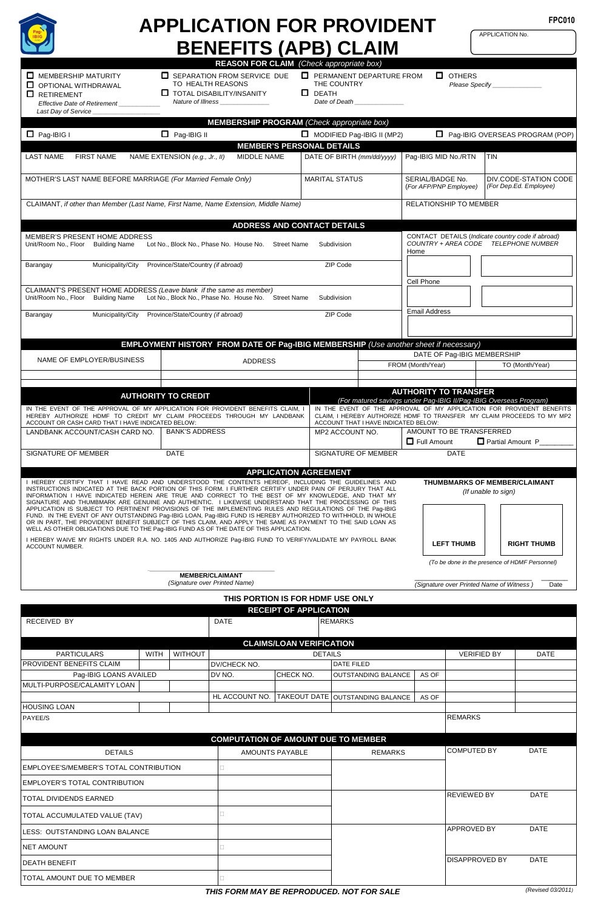

NET AMOUNT

TOTAL AMOUNT DUE TO MEMBER

# **FPC010 APPLICATION FOR PROVIDENT BENEFITS (APB) CLAIM**

APPLICATION No.

 DIV.CODE-STATION CODE (For Dep.Ed. Employee)

**REASON FOR CLAIM** (Check appropriate box)  $\Box$  MEMBERSHIP MATURITY OPTIONAL WITHDRAWAL RETIREMENT **Effective Date of Retirement** Last Day of Service **SEPARATION FROM SERVICE DUE** TO HEALTH REASONS **T** TOTAL DISABILITY/INSANITY Nature of Illness **D** PERMANENT DEPARTURE FROM THE COUNTRY  $D$  DEATH Date of Death **D** OTHERS Please Specify **MEMBERSHIP PROGRAM** (Check appropriate box) Pag-IBIG I Pag-IBIG II MODIFIED Pag-IBIG II (MP2) Pag-IBIG OVERSEAS PROGRAM (POP) **MEMBER'S PERSONAL DETAILS** LAST NAME FIRST NAME NAME EXTENSION (e.g., Jr., II) MIDDLE NAME DATE OF BIRTH (mm/dd/yyyy) | Pag-IBIG MID No./RTN | TIN MOTHER'S LAST NAME BEFORE MARRIAGE (For Married Female Only) MARITAL STATUS SERIAL/BADGE No. (For AFP/PNP Employee) CLAIMANT, if other than Member (Last Name, First Name, Name Extension, Middle Name) RELATIONSHIP TO MEMBER **ADDRESS AND CONTACT DETAILS**  MEMBER'S PRESENT HOME ADDRESS<br>Unit/Room No., Floor Building Name Lo Lot No., Block No., Phase No. House No. Street Name Subdivision CONTACT DETAILS (Indicate country code if abroad) COUNTRY + AREA CODE TELEPHONE NUMBER Home Cell Phone Email Address Barangay Municipality/City Province/State/Country (if abroad) ZIP Code CLAIMANT'S PRESENT HOME ADDRESS (Leave blank if the same as member)<br>Unit/Room No., Floor Building Name Lot No., Block No., Phase No. House No. Street Name Building Name Lot No., Block No., Phase No. House No. Street Name Subdivision Barangay Municipality/City Province/State/Country (if abroad) ZIP Code  **EMPLOYMENT HISTORY FROM DATE OF Pag-IBIG MEMBERSHIP** (Use another sheet if necessary) NAME OF EMPLOYER/BUSINESS | ADDRESS DATE OF Pag-IBIG MEMBERSHIP FROM (Month/Year) TO (Month/Year) **AUTHORITY TO TRANSFER**<br>For matured savings under Pag-IBIG II/Pag-IBIG Overseas Program)<br>AUTHORITY TO TRANSFER IN THE EVENT OF THE APPROVAL OF MY APPLICATION FOR PROVIDENT BENEFITS CLAIM, I<br>HEREBY AUTHORIZE HDMF TO CREDIT MY CLAIM PROCEEDS THROUGH MY LANDBANK<br>ACCOUNTOR CASH CARD THAT I HAVE INDICATED BELOW: IN THE EVENT OF THE APPROVAL OF MY APPLICATION FOR PROVIDENT BENEFITS<br>CLAIM, I HEREBY AUTHORIZE HDMF TO TRANSFER MY CLAIM PROCEEDS TO MY MP2<br>ACCOUNT THAT I HAVE INDICATED BELOW: LANDBANK ACCOUNT/CASH CARD NO. BANK'S ADDRESS MP2 ACCOUNT NO. AMOUNT TO BE TRANSFERRED  $\Box$  Full Amount  $\Box$  Partial Amount P SIGNATURE OF MEMBER **DATE** DATE SIGNATURE OF MEMBER DATE **APPLICATION AGREEMENT**  I HEREBY CERTIFY THAT I HAVE READ AND UNDERSTOOD THE CONTENTS HEREOF, INCLUDING THE GUIDELINES AND<br>INSTRUCTIONS INDICATED AT THE BACK PORTION OF THIS FORM. I FURTHER CERTIFY UNDER PAIN OF PERJURY THAT ALL INFORMATION I HAVE INDICATED HEREIN ARE TRUE AND CORRECT TO THE BEST OF MY KNOWLEDGE, AND THAT MY<br>SIGNATURE AND THUMBMARK ARE GENUINE AND AUTHENTIC. I LIKEWISE UNDERSTAND THAT THE PROCESSING OF THIS<br>APPLICATION IS SUBJECT I HEREBY WAIVE MY RIGHTS UNDER R.A. NO. 1405 AND AUTHORIZE Pag-IBIG FUND TO VERIFY/VALIDATE MY PAYROLL BANK<br>ACCOUNT NUMBER. **\_\_\_\_\_\_\_\_\_\_\_\_\_\_\_\_\_\_\_\_\_\_\_\_\_\_\_\_\_\_\_\_\_\_ MEMBER/CLAIMANT**  (Signature over Printed Name) **THUMBMARKS OF MEMBER/CLAIMANT**  (If unable to sign) (To be done in the presence of HDMF Personnel) \_\_\_\_\_\_\_\_\_\_\_\_\_\_\_\_\_\_\_\_\_\_\_\_\_\_\_\_\_\_\_ \_\_\_\_\_\_\_ (Signature over Printed Name of Witness ) Date **THIS PORTION IS FOR HDMF USE ONLY** **RECEIPT OF APPLICATION**  RECEIVED BY **DATE REMARKS CLAIMS/LOAN VERIFICATION**  PARTICULARS WITH WITHOUT DETAILS VERIFIED BY DATE PROVIDENT BENEFITS CLAIM **DELLA COMPUTE DE LA CONTRACTE DE LA CONTRACTE DE LA CONTRACTE DE LA CONTRACTE PILED** Pag-IBIG LOANS AVAILED **DV NO.** CHECK NO. OUTSTANDING BALANCE AS OF MULTI-PURPOSE/CALAMITY LOAN HL ACCOUNT NO. TAKEOUT DATE OUTSTANDING BALANCE AS OF HOUSING LOAN PAYEE/S REMARKS **COMPUTATION OF AMOUNT DUE TO MEMBER** DETAILS AMOUNTS PAYABLE REMARKS COMPUTED BY DATE EMPLOYEE'S/MEMBER'S TOTAL CONTRIBUTION EMPLOYER'S TOTAL CONTRIBUTION TOTAL DIVIDENDS EARNED **REVIEWED BY** DATE TOTAL ACCUMULATED VALUE (TAV)  **LEFT THUMB RIGHT THUMB**

LESS: OUTSTANDING LOAN BALANCE **A computer of the computer of the computer of the computer of the computer of the computer of the computer of the computer of the computer of the computer of the computer of the computer of** 

DEATH BENEFIT **DISAPPROVED BY DATE**